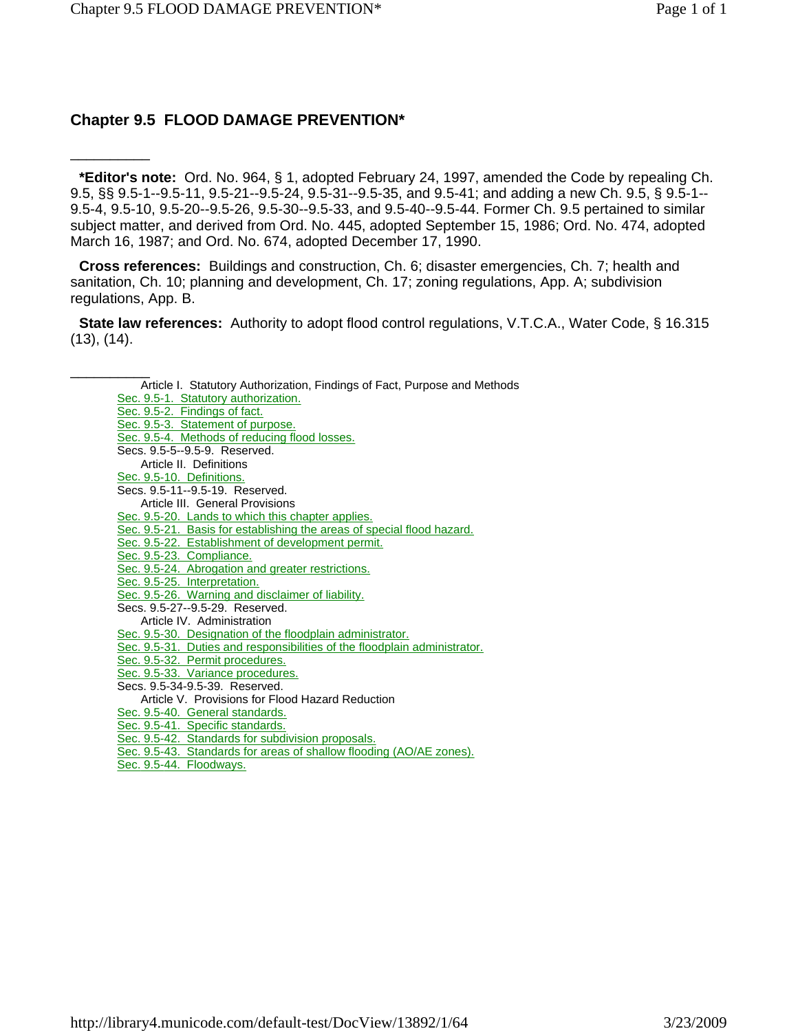### **Chapter 9.5 FLOOD DAMAGE PREVENTION\***

\_\_\_\_\_\_\_\_\_\_

**\*Editor's note:** Ord. No. 964, § 1, adopted February 24, 1997, amended the Code by repealing Ch. 9.5, §§ 9.5-1--9.5-11, 9.5-21--9.5-24, 9.5-31--9.5-35, and 9.5-41; and adding a new Ch. 9.5, § 9.5-1-- 9.5-4, 9.5-10, 9.5-20--9.5-26, 9.5-30--9.5-33, and 9.5-40--9.5-44. Former Ch. 9.5 pertained to similar subject matter, and derived from Ord. No. 445, adopted September 15, 1986; Ord. No. 474, adopted March 16, 1987; and Ord. No. 674, adopted December 17, 1990.

**Cross references:** Buildings and construction, Ch. 6; disaster emergencies, Ch. 7; health and sanitation, Ch. 10; planning and development, Ch. 17; zoning regulations, App. A; subdivision regulations, App. B.

**State law references:** Authority to adopt flood control regulations, V.T.C.A., Water Code, § 16.315 (13), (14).

Article I. Statutory Authorization, Findings of Fact, Purpose and Methods Sec. 9.5-1. Statutory authorization. Sec. 9.5-2. Findings of fact. Sec. 9.5-3. Statement of purpose. Sec. 9.5-4. Methods of reducing flood losses. Secs. 9.5-5--9.5-9. Reserved. Article II. Definitions Sec. 9.5-10. Definitions. Secs. 9.5-11--9.5-19. Reserved. Article III. General Provisions Sec. 9.5-20. Lands to which this chapter applies. Sec. 9.5-21. Basis for establishing the areas of special flood hazard. Sec. 9.5-22. Establishment of development permit. Sec. 9.5-23. Compliance. Sec. 9.5-24. Abrogation and greater restrictions. Sec. 9.5-25. Interpretation. Sec. 9.5-26. Warning and disclaimer of liability. Secs. 9.5-27--9.5-29. Reserved. Article IV. Administration Sec. 9.5-30. Designation of the floodplain administrator. Sec. 9.5-31. Duties and responsibilities of the floodplain administrator. Sec. 9.5-32. Permit procedures. Sec. 9.5-33. Variance procedures. Secs. 9.5-34-9.5-39. Reserved. Article V. Provisions for Flood Hazard Reduction Sec. 9.5-40. General standards. Sec. 9.5-41. Specific standards. Sec. 9.5-42. Standards for subdivision proposals. Sec. 9.5-43. Standards for areas of shallow flooding (AO/AE zones).

Sec. 9.5-44. Floodways.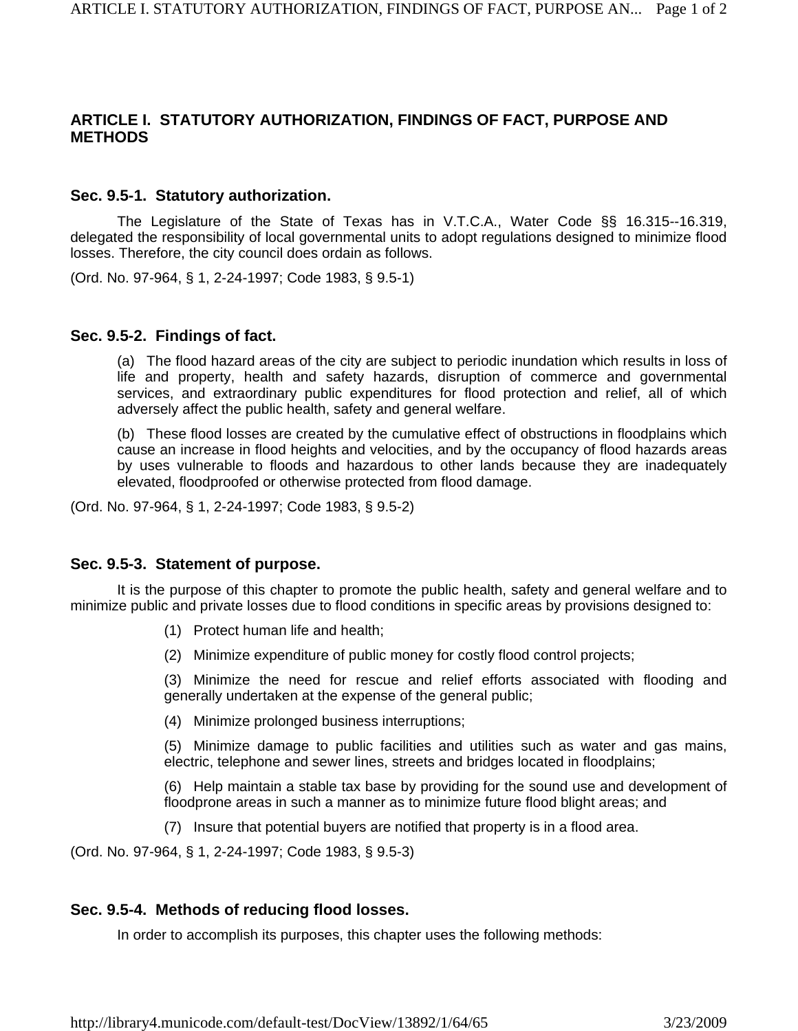### **ARTICLE I. STATUTORY AUTHORIZATION, FINDINGS OF FACT, PURPOSE AND METHODS**

### **Sec. 9.5-1. Statutory authorization.**

The Legislature of the State of Texas has in V.T.C.A., Water Code §§ 16.315--16.319, delegated the responsibility of local governmental units to adopt regulations designed to minimize flood losses. Therefore, the city council does ordain as follows.

(Ord. No. 97-964, § 1, 2-24-1997; Code 1983, § 9.5-1)

### **Sec. 9.5-2. Findings of fact.**

(a) The flood hazard areas of the city are subject to periodic inundation which results in loss of life and property, health and safety hazards, disruption of commerce and governmental services, and extraordinary public expenditures for flood protection and relief, all of which adversely affect the public health, safety and general welfare.

(b) These flood losses are created by the cumulative effect of obstructions in floodplains which cause an increase in flood heights and velocities, and by the occupancy of flood hazards areas by uses vulnerable to floods and hazardous to other lands because they are inadequately elevated, floodproofed or otherwise protected from flood damage.

(Ord. No. 97-964, § 1, 2-24-1997; Code 1983, § 9.5-2)

### **Sec. 9.5-3. Statement of purpose.**

It is the purpose of this chapter to promote the public health, safety and general welfare and to minimize public and private losses due to flood conditions in specific areas by provisions designed to:

- (1) Protect human life and health;
- (2) Minimize expenditure of public money for costly flood control projects;

(3) Minimize the need for rescue and relief efforts associated with flooding and generally undertaken at the expense of the general public;

(4) Minimize prolonged business interruptions;

(5) Minimize damage to public facilities and utilities such as water and gas mains, electric, telephone and sewer lines, streets and bridges located in floodplains;

(6) Help maintain a stable tax base by providing for the sound use and development of floodprone areas in such a manner as to minimize future flood blight areas; and

(7) Insure that potential buyers are notified that property is in a flood area.

(Ord. No. 97-964, § 1, 2-24-1997; Code 1983, § 9.5-3)

### **Sec. 9.5-4. Methods of reducing flood losses.**

In order to accomplish its purposes, this chapter uses the following methods: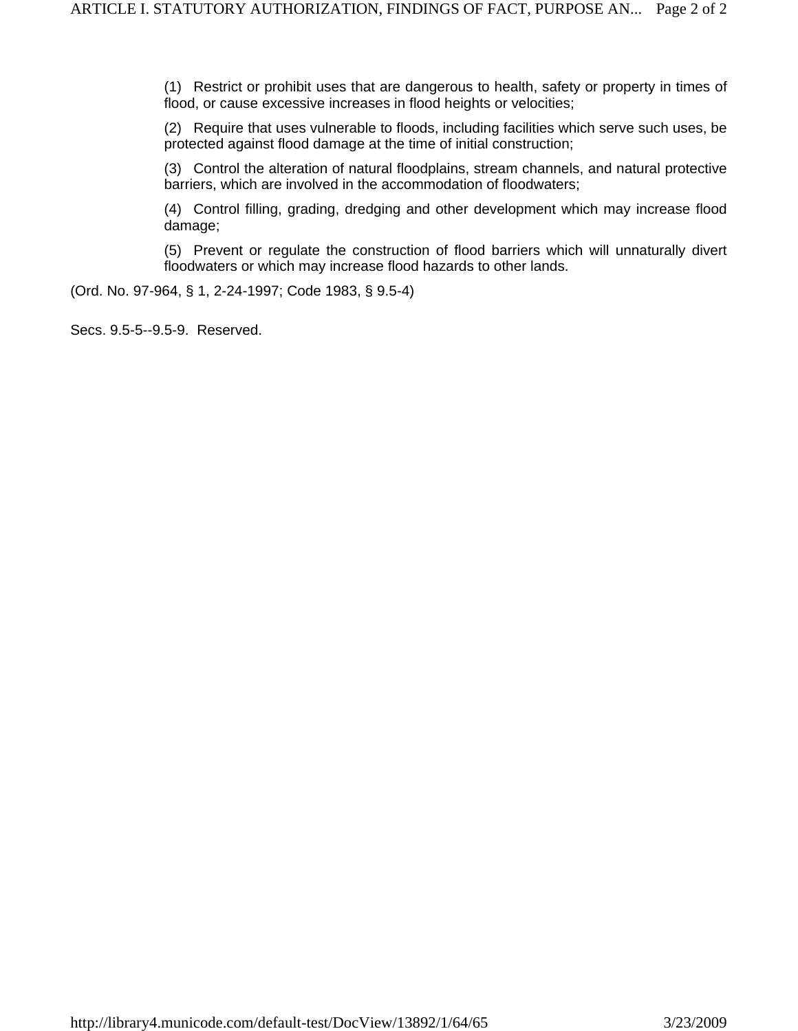(1) Restrict or prohibit uses that are dangerous to health, safety or property in times of flood, or cause excessive increases in flood heights or velocities;

(2) Require that uses vulnerable to floods, including facilities which serve such uses, be protected against flood damage at the time of initial construction;

(3) Control the alteration of natural floodplains, stream channels, and natural protective barriers, which are involved in the accommodation of floodwaters;

(4) Control filling, grading, dredging and other development which may increase flood damage;

(5) Prevent or regulate the construction of flood barriers which will unnaturally divert floodwaters or which may increase flood hazards to other lands.

(Ord. No. 97-964, § 1, 2-24-1997; Code 1983, § 9.5-4)

Secs. 9.5-5--9.5-9. Reserved.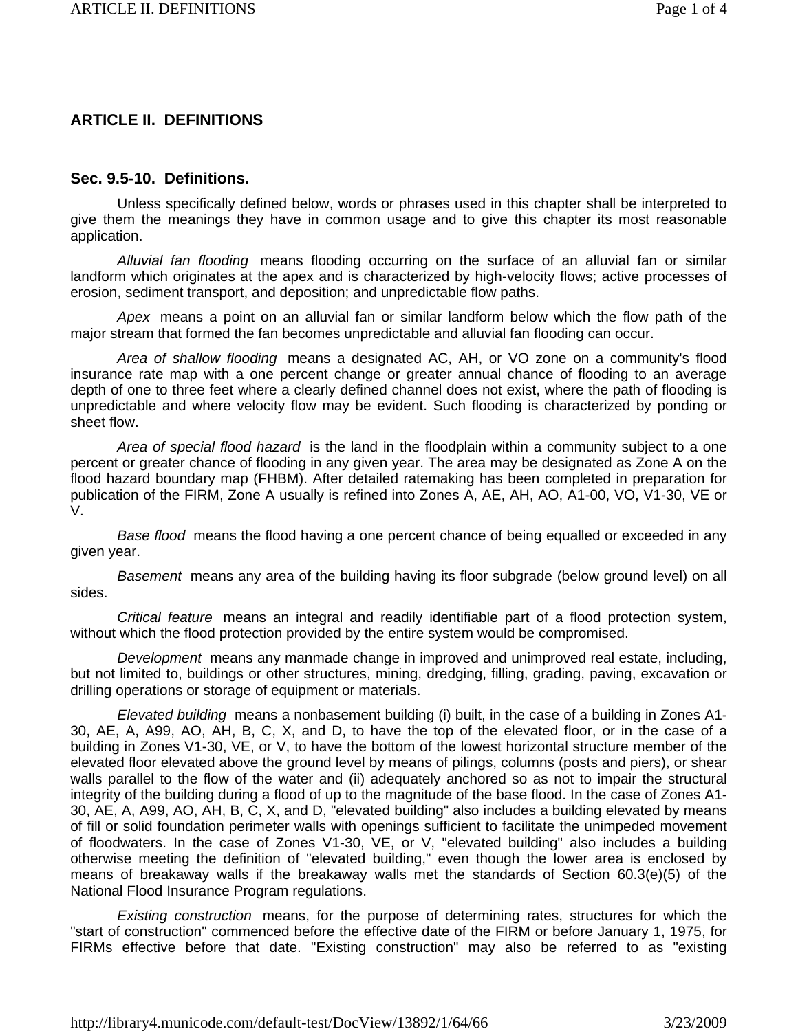### **ARTICLE II. DEFINITIONS**

### **Sec. 9.5-10. Definitions.**

Unless specifically defined below, words or phrases used in this chapter shall be interpreted to give them the meanings they have in common usage and to give this chapter its most reasonable application.

*Alluvial fan flooding* means flooding occurring on the surface of an alluvial fan or similar landform which originates at the apex and is characterized by high-velocity flows; active processes of erosion, sediment transport, and deposition; and unpredictable flow paths.

*Apex* means a point on an alluvial fan or similar landform below which the flow path of the major stream that formed the fan becomes unpredictable and alluvial fan flooding can occur.

*Area of shallow flooding* means a designated AC, AH, or VO zone on a community's flood insurance rate map with a one percent change or greater annual chance of flooding to an average depth of one to three feet where a clearly defined channel does not exist, where the path of flooding is unpredictable and where velocity flow may be evident. Such flooding is characterized by ponding or sheet flow.

*Area of special flood hazard* is the land in the floodplain within a community subject to a one percent or greater chance of flooding in any given year. The area may be designated as Zone A on the flood hazard boundary map (FHBM). After detailed ratemaking has been completed in preparation for publication of the FIRM, Zone A usually is refined into Zones A, AE, AH, AO, A1-00, VO, V1-30, VE or V.

*Base flood* means the flood having a one percent chance of being equalled or exceeded in any given year.

*Basement* means any area of the building having its floor subgrade (below ground level) on all sides.

*Critical feature* means an integral and readily identifiable part of a flood protection system, without which the flood protection provided by the entire system would be compromised.

*Development* means any manmade change in improved and unimproved real estate, including, but not limited to, buildings or other structures, mining, dredging, filling, grading, paving, excavation or drilling operations or storage of equipment or materials.

*Elevated building* means a nonbasement building (i) built, in the case of a building in Zones A1- 30, AE, A, A99, AO, AH, B, C, X, and D, to have the top of the elevated floor, or in the case of a building in Zones V1-30, VE, or V, to have the bottom of the lowest horizontal structure member of the elevated floor elevated above the ground level by means of pilings, columns (posts and piers), or shear walls parallel to the flow of the water and (ii) adequately anchored so as not to impair the structural integrity of the building during a flood of up to the magnitude of the base flood. In the case of Zones A1- 30, AE, A, A99, AO, AH, B, C, X, and D, "elevated building" also includes a building elevated by means of fill or solid foundation perimeter walls with openings sufficient to facilitate the unimpeded movement of floodwaters. In the case of Zones V1-30, VE, or V, "elevated building" also includes a building otherwise meeting the definition of "elevated building," even though the lower area is enclosed by means of breakaway walls if the breakaway walls met the standards of Section 60.3(e)(5) of the National Flood Insurance Program regulations.

*Existing construction* means, for the purpose of determining rates, structures for which the "start of construction" commenced before the effective date of the FIRM or before January 1, 1975, for FIRMs effective before that date. "Existing construction" may also be referred to as "existing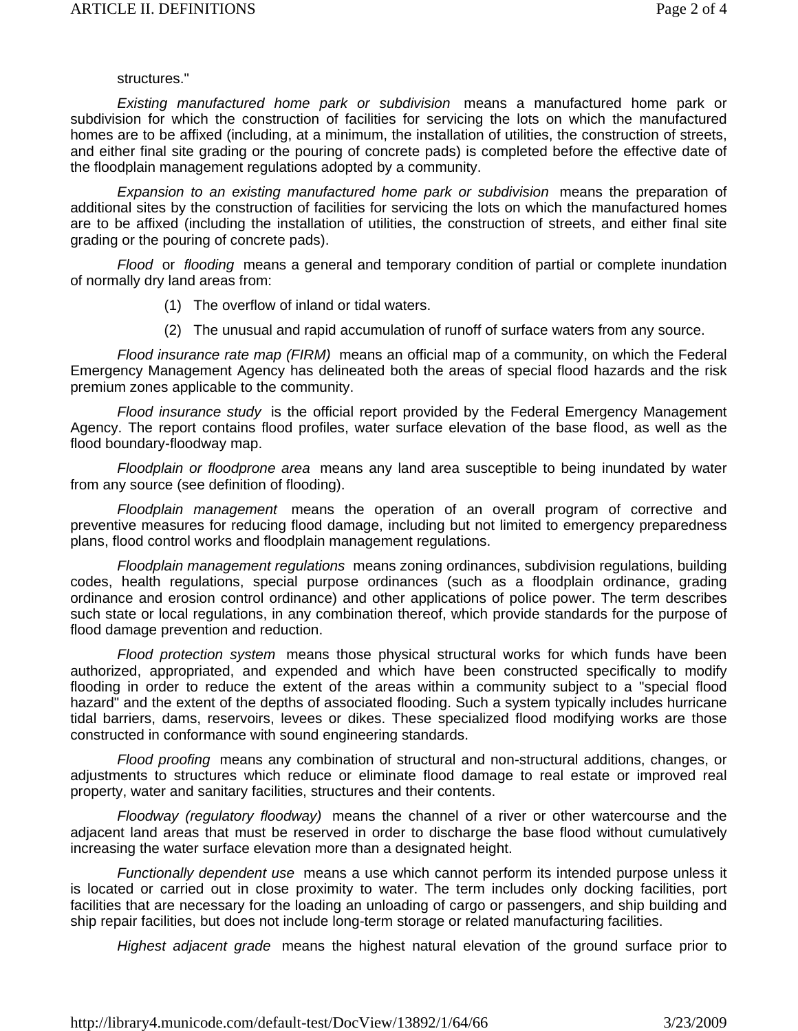#### structures."

*Existing manufactured home park or subdivision* means a manufactured home park or subdivision for which the construction of facilities for servicing the lots on which the manufactured homes are to be affixed (including, at a minimum, the installation of utilities, the construction of streets, and either final site grading or the pouring of concrete pads) is completed before the effective date of the floodplain management regulations adopted by a community.

*Expansion to an existing manufactured home park or subdivision* means the preparation of additional sites by the construction of facilities for servicing the lots on which the manufactured homes are to be affixed (including the installation of utilities, the construction of streets, and either final site grading or the pouring of concrete pads).

*Flood* or *flooding* means a general and temporary condition of partial or complete inundation of normally dry land areas from:

- (1) The overflow of inland or tidal waters.
- (2) The unusual and rapid accumulation of runoff of surface waters from any source.

*Flood insurance rate map (FIRM)* means an official map of a community, on which the Federal Emergency Management Agency has delineated both the areas of special flood hazards and the risk premium zones applicable to the community.

*Flood insurance study* is the official report provided by the Federal Emergency Management Agency. The report contains flood profiles, water surface elevation of the base flood, as well as the flood boundary-floodway map.

*Floodplain or floodprone area* means any land area susceptible to being inundated by water from any source (see definition of flooding).

*Floodplain management* means the operation of an overall program of corrective and preventive measures for reducing flood damage, including but not limited to emergency preparedness plans, flood control works and floodplain management regulations.

*Floodplain management regulations* means zoning ordinances, subdivision regulations, building codes, health regulations, special purpose ordinances (such as a floodplain ordinance, grading ordinance and erosion control ordinance) and other applications of police power. The term describes such state or local regulations, in any combination thereof, which provide standards for the purpose of flood damage prevention and reduction.

*Flood protection system* means those physical structural works for which funds have been authorized, appropriated, and expended and which have been constructed specifically to modify flooding in order to reduce the extent of the areas within a community subject to a "special flood hazard" and the extent of the depths of associated flooding. Such a system typically includes hurricane tidal barriers, dams, reservoirs, levees or dikes. These specialized flood modifying works are those constructed in conformance with sound engineering standards.

*Flood proofing* means any combination of structural and non-structural additions, changes, or adjustments to structures which reduce or eliminate flood damage to real estate or improved real property, water and sanitary facilities, structures and their contents.

*Floodway (regulatory floodway)* means the channel of a river or other watercourse and the adjacent land areas that must be reserved in order to discharge the base flood without cumulatively increasing the water surface elevation more than a designated height.

*Functionally dependent use* means a use which cannot perform its intended purpose unless it is located or carried out in close proximity to water. The term includes only docking facilities, port facilities that are necessary for the loading an unloading of cargo or passengers, and ship building and ship repair facilities, but does not include long-term storage or related manufacturing facilities.

*Highest adjacent grade* means the highest natural elevation of the ground surface prior to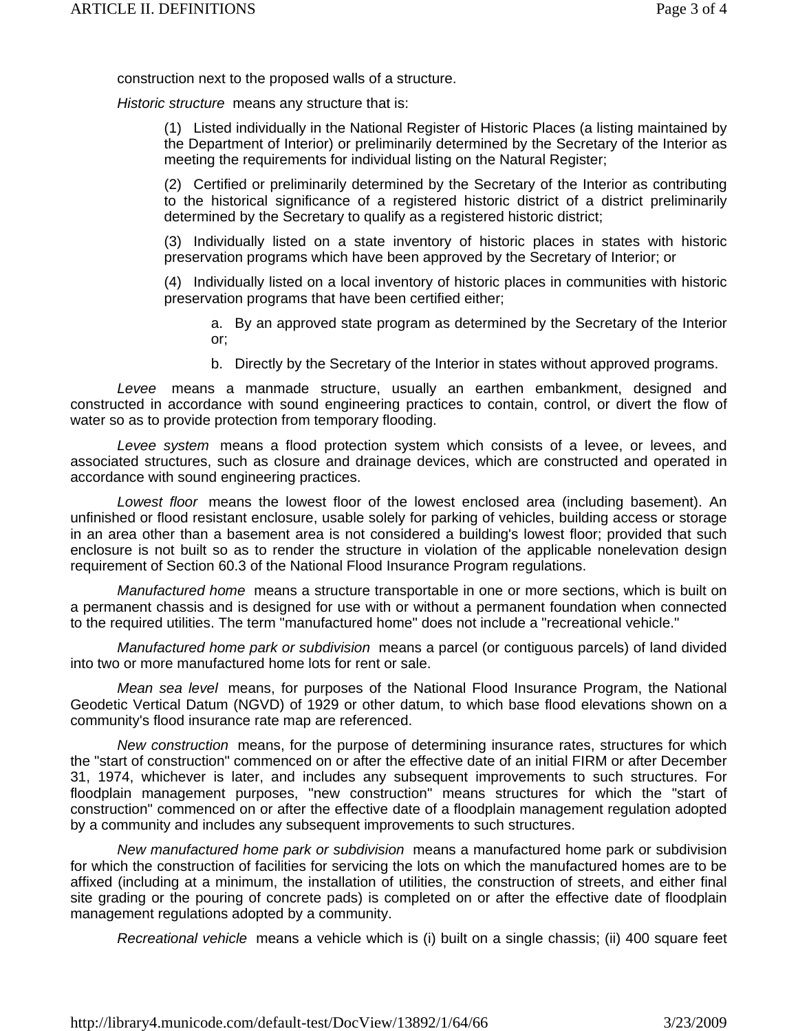construction next to the proposed walls of a structure.

*Historic structure* means any structure that is:

(1) Listed individually in the National Register of Historic Places (a listing maintained by the Department of Interior) or preliminarily determined by the Secretary of the Interior as meeting the requirements for individual listing on the Natural Register;

(2) Certified or preliminarily determined by the Secretary of the Interior as contributing to the historical significance of a registered historic district of a district preliminarily determined by the Secretary to qualify as a registered historic district;

(3) Individually listed on a state inventory of historic places in states with historic preservation programs which have been approved by the Secretary of Interior; or

(4) Individually listed on a local inventory of historic places in communities with historic preservation programs that have been certified either;

a. By an approved state program as determined by the Secretary of the Interior or;

b. Directly by the Secretary of the Interior in states without approved programs.

*Levee* means a manmade structure, usually an earthen embankment, designed and constructed in accordance with sound engineering practices to contain, control, or divert the flow of water so as to provide protection from temporary flooding.

*Levee system* means a flood protection system which consists of a levee, or levees, and associated structures, such as closure and drainage devices, which are constructed and operated in accordance with sound engineering practices.

*Lowest floor* means the lowest floor of the lowest enclosed area (including basement). An unfinished or flood resistant enclosure, usable solely for parking of vehicles, building access or storage in an area other than a basement area is not considered a building's lowest floor; provided that such enclosure is not built so as to render the structure in violation of the applicable nonelevation design requirement of Section 60.3 of the National Flood Insurance Program regulations.

*Manufactured home* means a structure transportable in one or more sections, which is built on a permanent chassis and is designed for use with or without a permanent foundation when connected to the required utilities. The term "manufactured home" does not include a "recreational vehicle."

*Manufactured home park or subdivision* means a parcel (or contiguous parcels) of land divided into two or more manufactured home lots for rent or sale.

*Mean sea level* means, for purposes of the National Flood Insurance Program, the National Geodetic Vertical Datum (NGVD) of 1929 or other datum, to which base flood elevations shown on a community's flood insurance rate map are referenced.

*New construction* means, for the purpose of determining insurance rates, structures for which the "start of construction" commenced on or after the effective date of an initial FIRM or after December 31, 1974, whichever is later, and includes any subsequent improvements to such structures. For floodplain management purposes, "new construction" means structures for which the "start of construction" commenced on or after the effective date of a floodplain management regulation adopted by a community and includes any subsequent improvements to such structures.

*New manufactured home park or subdivision* means a manufactured home park or subdivision for which the construction of facilities for servicing the lots on which the manufactured homes are to be affixed (including at a minimum, the installation of utilities, the construction of streets, and either final site grading or the pouring of concrete pads) is completed on or after the effective date of floodplain management regulations adopted by a community.

*Recreational vehicle* means a vehicle which is (i) built on a single chassis; (ii) 400 square feet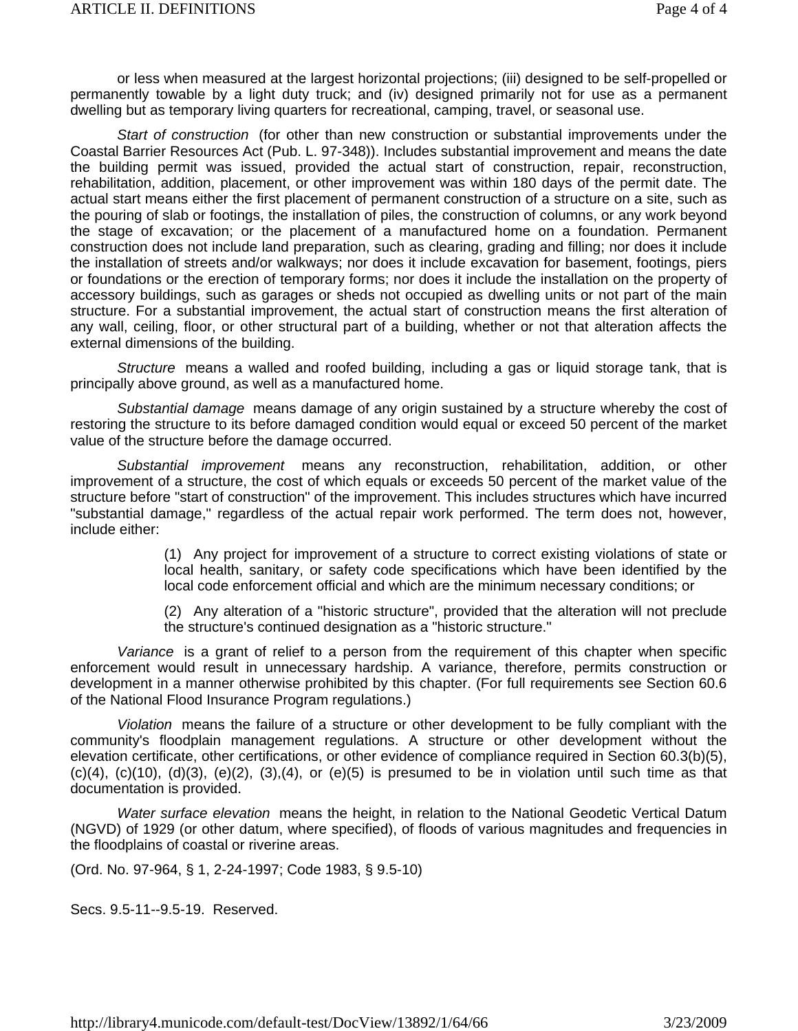or less when measured at the largest horizontal projections; (iii) designed to be self-propelled or permanently towable by a light duty truck; and (iv) designed primarily not for use as a permanent dwelling but as temporary living quarters for recreational, camping, travel, or seasonal use.

*Start of construction* (for other than new construction or substantial improvements under the Coastal Barrier Resources Act (Pub. L. 97-348)). Includes substantial improvement and means the date the building permit was issued, provided the actual start of construction, repair, reconstruction, rehabilitation, addition, placement, or other improvement was within 180 days of the permit date. The actual start means either the first placement of permanent construction of a structure on a site, such as the pouring of slab or footings, the installation of piles, the construction of columns, or any work beyond the stage of excavation; or the placement of a manufactured home on a foundation. Permanent construction does not include land preparation, such as clearing, grading and filling; nor does it include the installation of streets and/or walkways; nor does it include excavation for basement, footings, piers or foundations or the erection of temporary forms; nor does it include the installation on the property of accessory buildings, such as garages or sheds not occupied as dwelling units or not part of the main structure. For a substantial improvement, the actual start of construction means the first alteration of any wall, ceiling, floor, or other structural part of a building, whether or not that alteration affects the external dimensions of the building.

*Structure* means a walled and roofed building, including a gas or liquid storage tank, that is principally above ground, as well as a manufactured home.

*Substantial damage* means damage of any origin sustained by a structure whereby the cost of restoring the structure to its before damaged condition would equal or exceed 50 percent of the market value of the structure before the damage occurred.

*Substantial improvement* means any reconstruction, rehabilitation, addition, or other improvement of a structure, the cost of which equals or exceeds 50 percent of the market value of the structure before "start of construction" of the improvement. This includes structures which have incurred "substantial damage," regardless of the actual repair work performed. The term does not, however, include either:

> (1) Any project for improvement of a structure to correct existing violations of state or local health, sanitary, or safety code specifications which have been identified by the local code enforcement official and which are the minimum necessary conditions; or

> (2) Any alteration of a "historic structure", provided that the alteration will not preclude the structure's continued designation as a "historic structure."

*Variance* is a grant of relief to a person from the requirement of this chapter when specific enforcement would result in unnecessary hardship. A variance, therefore, permits construction or development in a manner otherwise prohibited by this chapter. (For full requirements see Section 60.6 of the National Flood Insurance Program regulations.)

*Violation* means the failure of a structure or other development to be fully compliant with the community's floodplain management regulations. A structure or other development without the elevation certificate, other certifications, or other evidence of compliance required in Section 60.3(b)(5),  $(c)(4)$ ,  $(c)(10)$ ,  $(d)(3)$ ,  $(e)(2)$ ,  $(3)$ , $(4)$ , or  $(e)(5)$  is presumed to be in violation until such time as that documentation is provided.

*Water surface elevation* means the height, in relation to the National Geodetic Vertical Datum (NGVD) of 1929 (or other datum, where specified), of floods of various magnitudes and frequencies in the floodplains of coastal or riverine areas.

(Ord. No. 97-964, § 1, 2-24-1997; Code 1983, § 9.5-10)

Secs. 9.5-11--9.5-19. Reserved.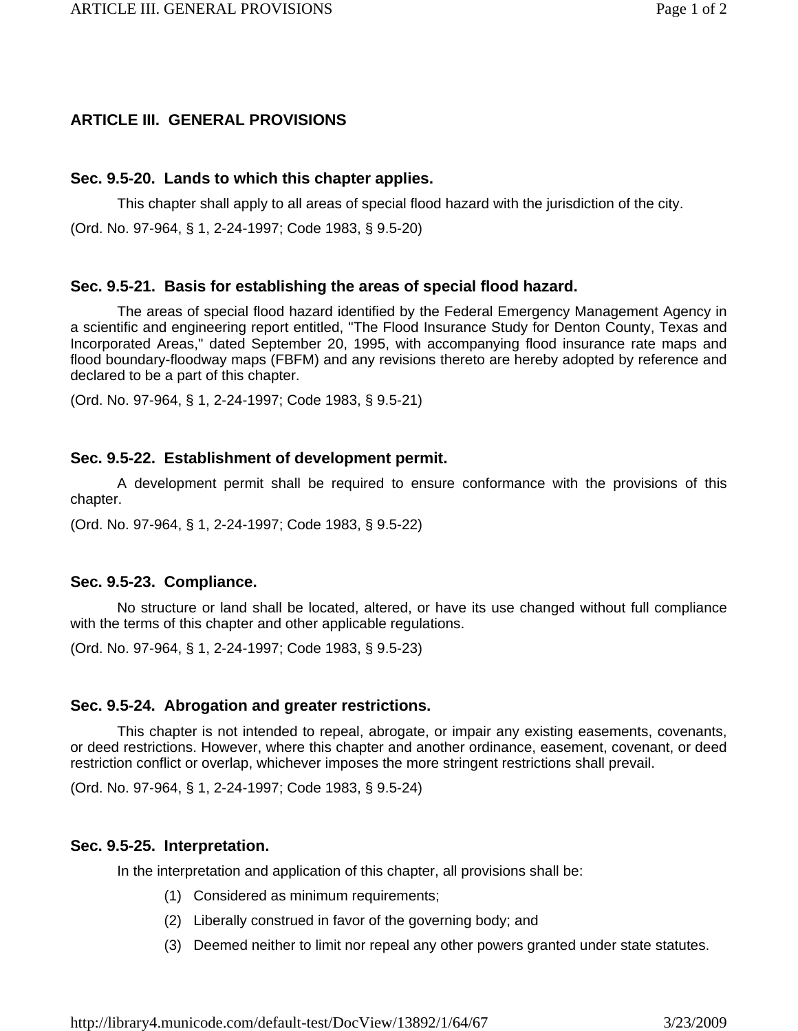# **ARTICLE III. GENERAL PROVISIONS**

## **Sec. 9.5-20. Lands to which this chapter applies.**

This chapter shall apply to all areas of special flood hazard with the jurisdiction of the city.

(Ord. No. 97-964, § 1, 2-24-1997; Code 1983, § 9.5-20)

## **Sec. 9.5-21. Basis for establishing the areas of special flood hazard.**

The areas of special flood hazard identified by the Federal Emergency Management Agency in a scientific and engineering report entitled, "The Flood Insurance Study for Denton County, Texas and Incorporated Areas," dated September 20, 1995, with accompanying flood insurance rate maps and flood boundary-floodway maps (FBFM) and any revisions thereto are hereby adopted by reference and declared to be a part of this chapter.

(Ord. No. 97-964, § 1, 2-24-1997; Code 1983, § 9.5-21)

## **Sec. 9.5-22. Establishment of development permit.**

A development permit shall be required to ensure conformance with the provisions of this chapter.

(Ord. No. 97-964, § 1, 2-24-1997; Code 1983, § 9.5-22)

## **Sec. 9.5-23. Compliance.**

No structure or land shall be located, altered, or have its use changed without full compliance with the terms of this chapter and other applicable regulations.

(Ord. No. 97-964, § 1, 2-24-1997; Code 1983, § 9.5-23)

## **Sec. 9.5-24. Abrogation and greater restrictions.**

This chapter is not intended to repeal, abrogate, or impair any existing easements, covenants, or deed restrictions. However, where this chapter and another ordinance, easement, covenant, or deed restriction conflict or overlap, whichever imposes the more stringent restrictions shall prevail.

(Ord. No. 97-964, § 1, 2-24-1997; Code 1983, § 9.5-24)

## **Sec. 9.5-25. Interpretation.**

In the interpretation and application of this chapter, all provisions shall be:

- (1) Considered as minimum requirements;
- (2) Liberally construed in favor of the governing body; and
- (3) Deemed neither to limit nor repeal any other powers granted under state statutes.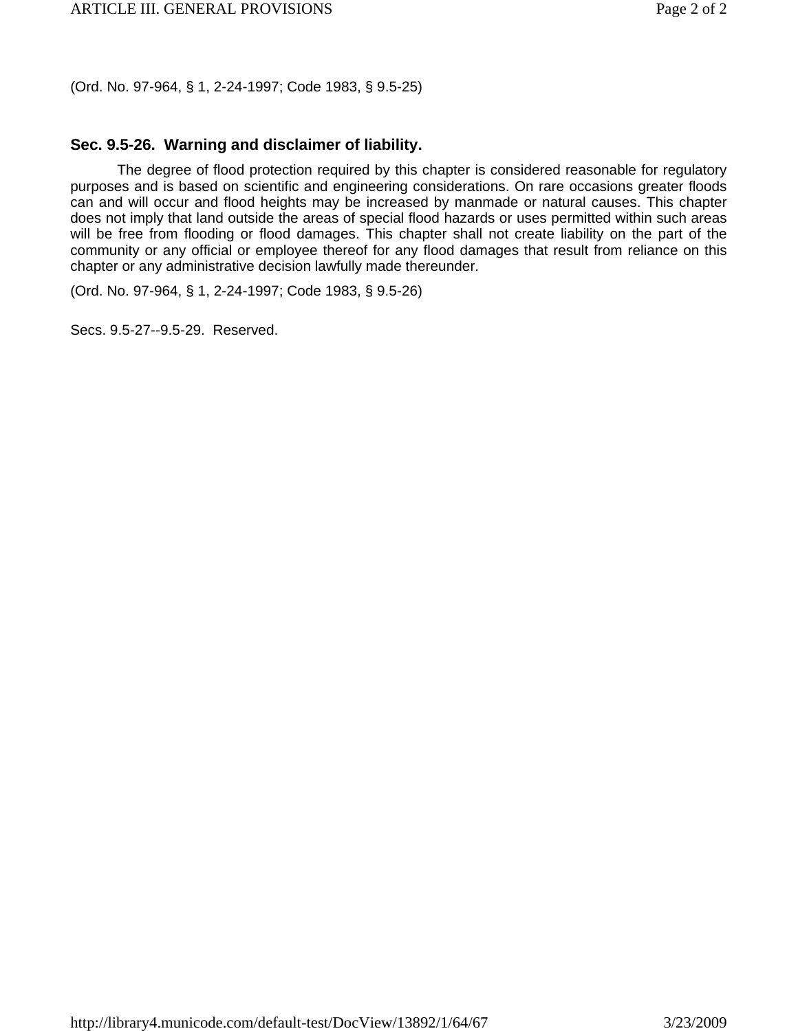(Ord. No. 97-964, § 1, 2-24-1997; Code 1983, § 9.5-25)

# **Sec. 9.5-26. Warning and disclaimer of liability.**

The degree of flood protection required by this chapter is considered reasonable for regulatory purposes and is based on scientific and engineering considerations. On rare occasions greater floods can and will occur and flood heights may be increased by manmade or natural causes. This chapter does not imply that land outside the areas of special flood hazards or uses permitted within such areas will be free from flooding or flood damages. This chapter shall not create liability on the part of the community or any official or employee thereof for any flood damages that result from reliance on this chapter or any administrative decision lawfully made thereunder.

(Ord. No. 97-964, § 1, 2-24-1997; Code 1983, § 9.5-26)

Secs. 9.5-27--9.5-29. Reserved.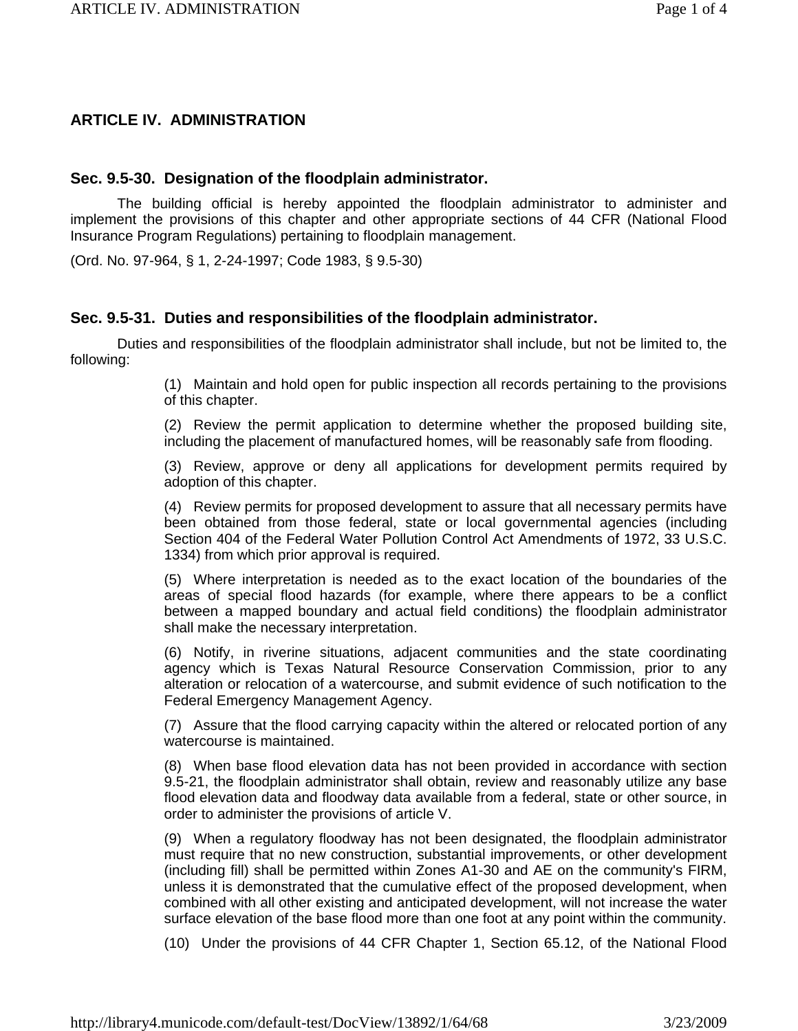## **ARTICLE IV. ADMINISTRATION**

### **Sec. 9.5-30. Designation of the floodplain administrator.**

The building official is hereby appointed the floodplain administrator to administer and implement the provisions of this chapter and other appropriate sections of 44 CFR (National Flood Insurance Program Regulations) pertaining to floodplain management.

(Ord. No. 97-964, § 1, 2-24-1997; Code 1983, § 9.5-30)

### **Sec. 9.5-31. Duties and responsibilities of the floodplain administrator.**

Duties and responsibilities of the floodplain administrator shall include, but not be limited to, the following:

> (1) Maintain and hold open for public inspection all records pertaining to the provisions of this chapter.

> (2) Review the permit application to determine whether the proposed building site, including the placement of manufactured homes, will be reasonably safe from flooding.

> (3) Review, approve or deny all applications for development permits required by adoption of this chapter.

> (4) Review permits for proposed development to assure that all necessary permits have been obtained from those federal, state or local governmental agencies (including Section 404 of the Federal Water Pollution Control Act Amendments of 1972, 33 U.S.C. 1334) from which prior approval is required.

> (5) Where interpretation is needed as to the exact location of the boundaries of the areas of special flood hazards (for example, where there appears to be a conflict between a mapped boundary and actual field conditions) the floodplain administrator shall make the necessary interpretation.

> (6) Notify, in riverine situations, adjacent communities and the state coordinating agency which is Texas Natural Resource Conservation Commission, prior to any alteration or relocation of a watercourse, and submit evidence of such notification to the Federal Emergency Management Agency.

> (7) Assure that the flood carrying capacity within the altered or relocated portion of any watercourse is maintained.

> (8) When base flood elevation data has not been provided in accordance with section 9.5-21, the floodplain administrator shall obtain, review and reasonably utilize any base flood elevation data and floodway data available from a federal, state or other source, in order to administer the provisions of article V.

> (9) When a regulatory floodway has not been designated, the floodplain administrator must require that no new construction, substantial improvements, or other development (including fill) shall be permitted within Zones A1-30 and AE on the community's FIRM, unless it is demonstrated that the cumulative effect of the proposed development, when combined with all other existing and anticipated development, will not increase the water surface elevation of the base flood more than one foot at any point within the community.

> (10) Under the provisions of 44 CFR Chapter 1, Section 65.12, of the National Flood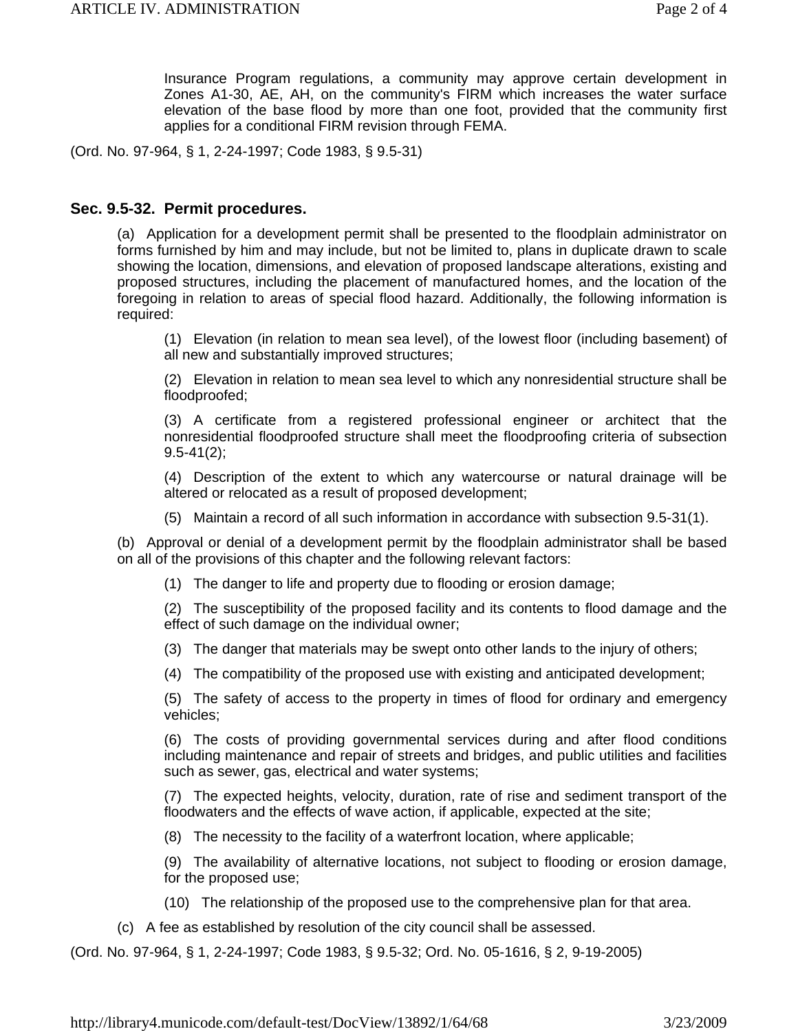Insurance Program regulations, a community may approve certain development in Zones A1-30, AE, AH, on the community's FIRM which increases the water surface elevation of the base flood by more than one foot, provided that the community first applies for a conditional FIRM revision through FEMA.

(Ord. No. 97-964, § 1, 2-24-1997; Code 1983, § 9.5-31)

### **Sec. 9.5-32. Permit procedures.**

(a) Application for a development permit shall be presented to the floodplain administrator on forms furnished by him and may include, but not be limited to, plans in duplicate drawn to scale showing the location, dimensions, and elevation of proposed landscape alterations, existing and proposed structures, including the placement of manufactured homes, and the location of the foregoing in relation to areas of special flood hazard. Additionally, the following information is required:

(1) Elevation (in relation to mean sea level), of the lowest floor (including basement) of all new and substantially improved structures;

(2) Elevation in relation to mean sea level to which any nonresidential structure shall be floodproofed;

(3) A certificate from a registered professional engineer or architect that the nonresidential floodproofed structure shall meet the floodproofing criteria of subsection 9.5-41(2);

(4) Description of the extent to which any watercourse or natural drainage will be altered or relocated as a result of proposed development;

(5) Maintain a record of all such information in accordance with subsection 9.5-31(1).

(b) Approval or denial of a development permit by the floodplain administrator shall be based on all of the provisions of this chapter and the following relevant factors:

(1) The danger to life and property due to flooding or erosion damage;

(2) The susceptibility of the proposed facility and its contents to flood damage and the effect of such damage on the individual owner;

- (3) The danger that materials may be swept onto other lands to the injury of others;
- (4) The compatibility of the proposed use with existing and anticipated development;

(5) The safety of access to the property in times of flood for ordinary and emergency vehicles;

(6) The costs of providing governmental services during and after flood conditions including maintenance and repair of streets and bridges, and public utilities and facilities such as sewer, gas, electrical and water systems;

(7) The expected heights, velocity, duration, rate of rise and sediment transport of the floodwaters and the effects of wave action, if applicable, expected at the site;

(8) The necessity to the facility of a waterfront location, where applicable;

(9) The availability of alternative locations, not subject to flooding or erosion damage, for the proposed use;

- (10) The relationship of the proposed use to the comprehensive plan for that area.
- (c) A fee as established by resolution of the city council shall be assessed.

(Ord. No. 97-964, § 1, 2-24-1997; Code 1983, § 9.5-32; Ord. No. 05-1616, § 2, 9-19-2005)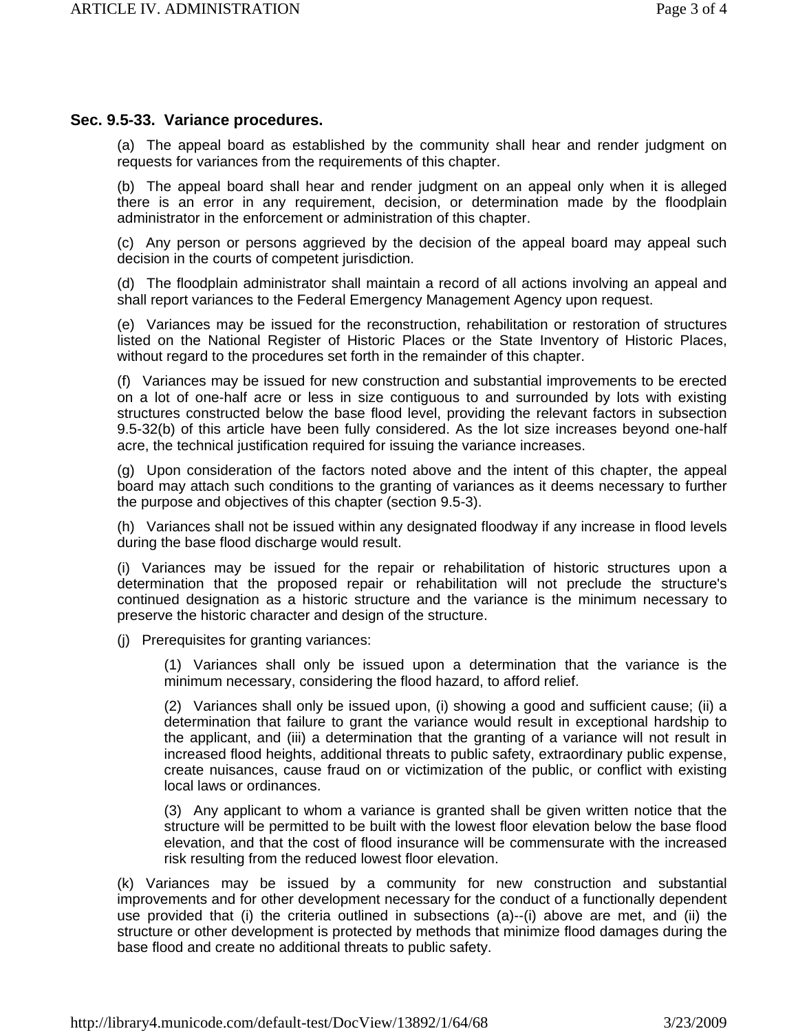### **Sec. 9.5-33. Variance procedures.**

(a) The appeal board as established by the community shall hear and render judgment on requests for variances from the requirements of this chapter.

(b) The appeal board shall hear and render judgment on an appeal only when it is alleged there is an error in any requirement, decision, or determination made by the floodplain administrator in the enforcement or administration of this chapter.

(c) Any person or persons aggrieved by the decision of the appeal board may appeal such decision in the courts of competent jurisdiction.

(d) The floodplain administrator shall maintain a record of all actions involving an appeal and shall report variances to the Federal Emergency Management Agency upon request.

(e) Variances may be issued for the reconstruction, rehabilitation or restoration of structures listed on the National Register of Historic Places or the State Inventory of Historic Places, without regard to the procedures set forth in the remainder of this chapter.

(f) Variances may be issued for new construction and substantial improvements to be erected on a lot of one-half acre or less in size contiguous to and surrounded by lots with existing structures constructed below the base flood level, providing the relevant factors in subsection 9.5-32(b) of this article have been fully considered. As the lot size increases beyond one-half acre, the technical justification required for issuing the variance increases.

(g) Upon consideration of the factors noted above and the intent of this chapter, the appeal board may attach such conditions to the granting of variances as it deems necessary to further the purpose and objectives of this chapter (section 9.5-3).

(h) Variances shall not be issued within any designated floodway if any increase in flood levels during the base flood discharge would result.

(i) Variances may be issued for the repair or rehabilitation of historic structures upon a determination that the proposed repair or rehabilitation will not preclude the structure's continued designation as a historic structure and the variance is the minimum necessary to preserve the historic character and design of the structure.

(j) Prerequisites for granting variances:

(1) Variances shall only be issued upon a determination that the variance is the minimum necessary, considering the flood hazard, to afford relief.

(2) Variances shall only be issued upon, (i) showing a good and sufficient cause; (ii) a determination that failure to grant the variance would result in exceptional hardship to the applicant, and (iii) a determination that the granting of a variance will not result in increased flood heights, additional threats to public safety, extraordinary public expense, create nuisances, cause fraud on or victimization of the public, or conflict with existing local laws or ordinances.

(3) Any applicant to whom a variance is granted shall be given written notice that the structure will be permitted to be built with the lowest floor elevation below the base flood elevation, and that the cost of flood insurance will be commensurate with the increased risk resulting from the reduced lowest floor elevation.

(k) Variances may be issued by a community for new construction and substantial improvements and for other development necessary for the conduct of a functionally dependent use provided that (i) the criteria outlined in subsections (a)--(i) above are met, and (ii) the structure or other development is protected by methods that minimize flood damages during the base flood and create no additional threats to public safety.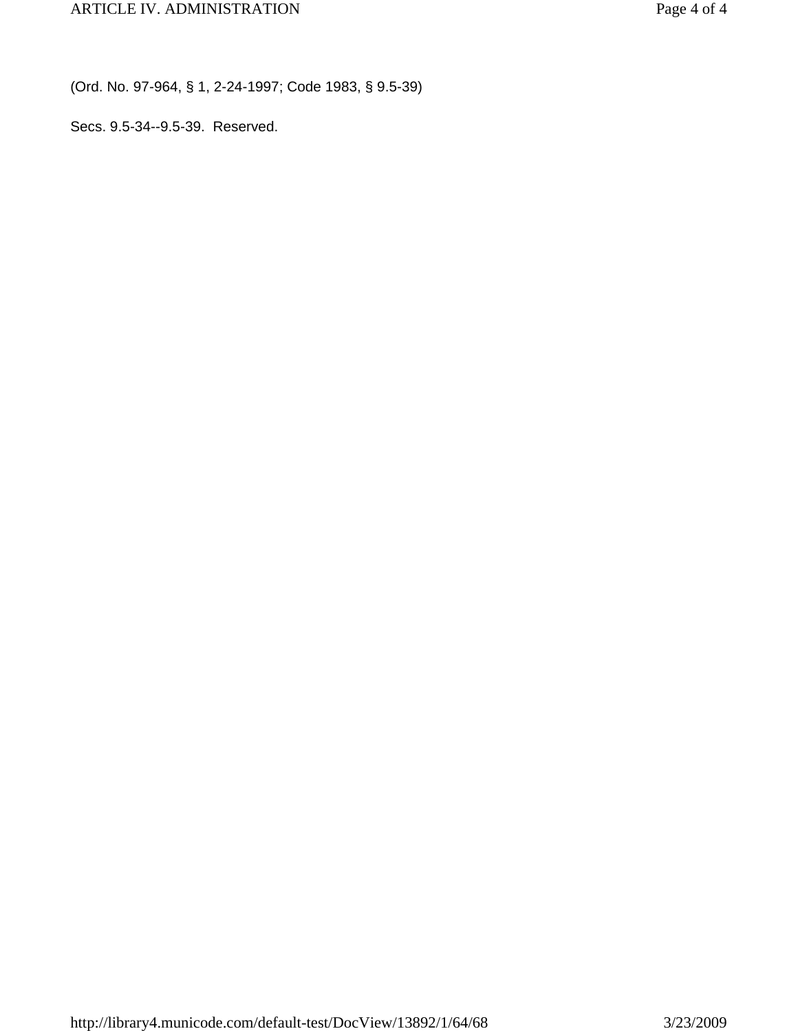(Ord. No. 97-964, § 1, 2-24-1997; Code 1983, § 9.5-39)

Secs. 9.5-34--9.5-39. Reserved.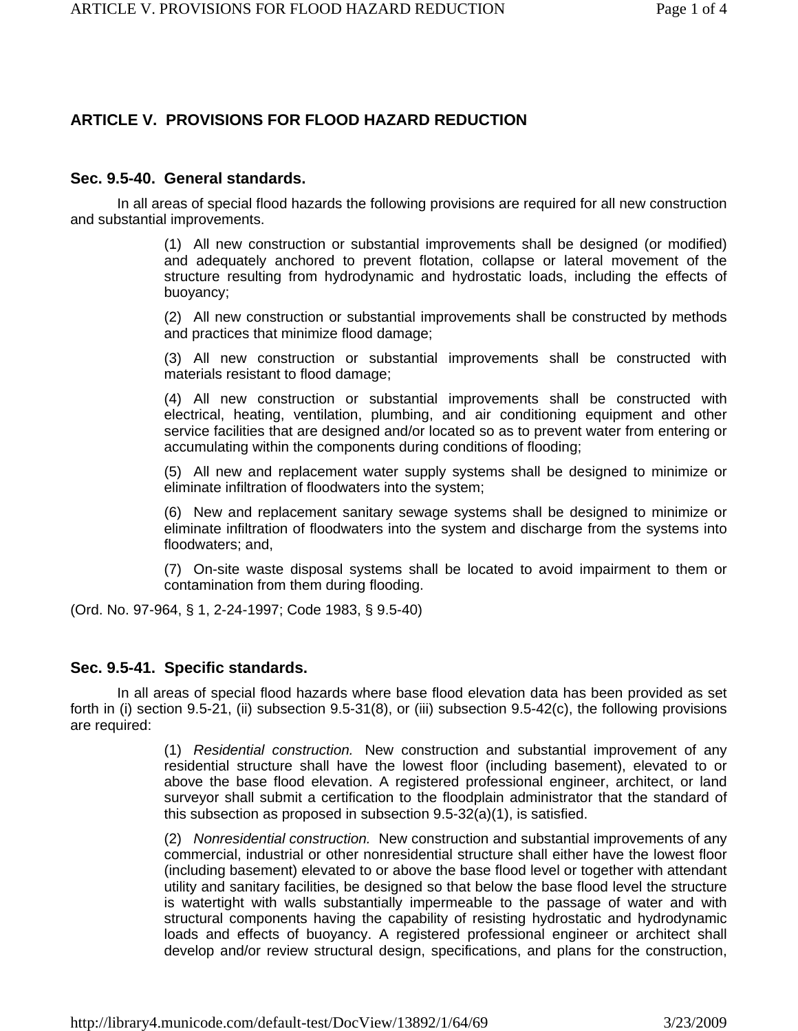## **ARTICLE V. PROVISIONS FOR FLOOD HAZARD REDUCTION**

### **Sec. 9.5-40. General standards.**

In all areas of special flood hazards the following provisions are required for all new construction and substantial improvements.

> (1) All new construction or substantial improvements shall be designed (or modified) and adequately anchored to prevent flotation, collapse or lateral movement of the structure resulting from hydrodynamic and hydrostatic loads, including the effects of buoyancy;

> (2) All new construction or substantial improvements shall be constructed by methods and practices that minimize flood damage;

> (3) All new construction or substantial improvements shall be constructed with materials resistant to flood damage;

> (4) All new construction or substantial improvements shall be constructed with electrical, heating, ventilation, plumbing, and air conditioning equipment and other service facilities that are designed and/or located so as to prevent water from entering or accumulating within the components during conditions of flooding;

> (5) All new and replacement water supply systems shall be designed to minimize or eliminate infiltration of floodwaters into the system;

> (6) New and replacement sanitary sewage systems shall be designed to minimize or eliminate infiltration of floodwaters into the system and discharge from the systems into floodwaters; and,

> (7) On-site waste disposal systems shall be located to avoid impairment to them or contamination from them during flooding.

(Ord. No. 97-964, § 1, 2-24-1997; Code 1983, § 9.5-40)

### **Sec. 9.5-41. Specific standards.**

In all areas of special flood hazards where base flood elevation data has been provided as set forth in (i) section 9.5-21, (ii) subsection 9.5-31(8), or (iii) subsection 9.5-42(c), the following provisions are required:

> (1) *Residential construction.* New construction and substantial improvement of any residential structure shall have the lowest floor (including basement), elevated to or above the base flood elevation. A registered professional engineer, architect, or land surveyor shall submit a certification to the floodplain administrator that the standard of this subsection as proposed in subsection 9.5-32(a)(1), is satisfied.

> (2) *Nonresidential construction.* New construction and substantial improvements of any commercial, industrial or other nonresidential structure shall either have the lowest floor (including basement) elevated to or above the base flood level or together with attendant utility and sanitary facilities, be designed so that below the base flood level the structure is watertight with walls substantially impermeable to the passage of water and with structural components having the capability of resisting hydrostatic and hydrodynamic loads and effects of buoyancy. A registered professional engineer or architect shall develop and/or review structural design, specifications, and plans for the construction,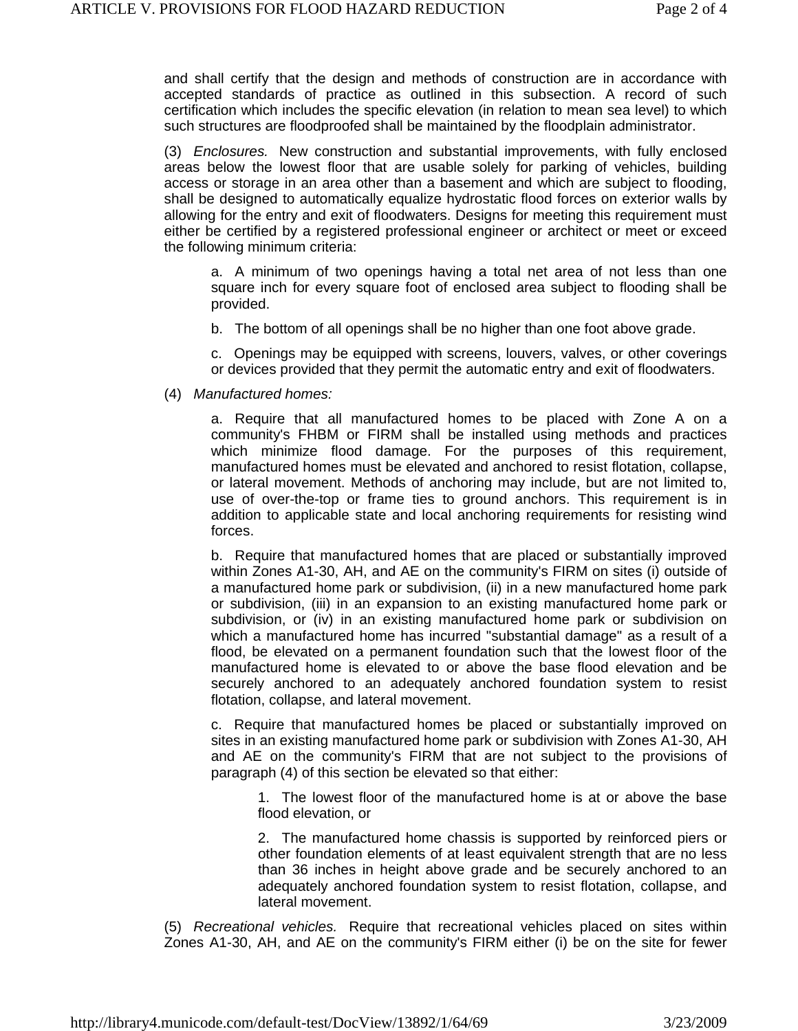and shall certify that the design and methods of construction are in accordance with accepted standards of practice as outlined in this subsection. A record of such certification which includes the specific elevation (in relation to mean sea level) to which such structures are floodproofed shall be maintained by the floodplain administrator.

(3) *Enclosures.* New construction and substantial improvements, with fully enclosed areas below the lowest floor that are usable solely for parking of vehicles, building access or storage in an area other than a basement and which are subject to flooding, shall be designed to automatically equalize hydrostatic flood forces on exterior walls by allowing for the entry and exit of floodwaters. Designs for meeting this requirement must either be certified by a registered professional engineer or architect or meet or exceed the following minimum criteria:

a. A minimum of two openings having a total net area of not less than one square inch for every square foot of enclosed area subject to flooding shall be provided.

b. The bottom of all openings shall be no higher than one foot above grade.

c. Openings may be equipped with screens, louvers, valves, or other coverings or devices provided that they permit the automatic entry and exit of floodwaters.

#### (4) *Manufactured homes:*

a. Require that all manufactured homes to be placed with Zone A on a community's FHBM or FIRM shall be installed using methods and practices which minimize flood damage. For the purposes of this requirement, manufactured homes must be elevated and anchored to resist flotation, collapse, or lateral movement. Methods of anchoring may include, but are not limited to, use of over-the-top or frame ties to ground anchors. This requirement is in addition to applicable state and local anchoring requirements for resisting wind forces.

b. Require that manufactured homes that are placed or substantially improved within Zones A1-30, AH, and AE on the community's FIRM on sites (i) outside of a manufactured home park or subdivision, (ii) in a new manufactured home park or subdivision, (iii) in an expansion to an existing manufactured home park or subdivision, or (iv) in an existing manufactured home park or subdivision on which a manufactured home has incurred "substantial damage" as a result of a flood, be elevated on a permanent foundation such that the lowest floor of the manufactured home is elevated to or above the base flood elevation and be securely anchored to an adequately anchored foundation system to resist flotation, collapse, and lateral movement.

c. Require that manufactured homes be placed or substantially improved on sites in an existing manufactured home park or subdivision with Zones A1-30, AH and AE on the community's FIRM that are not subject to the provisions of paragraph (4) of this section be elevated so that either:

1. The lowest floor of the manufactured home is at or above the base flood elevation, or

2. The manufactured home chassis is supported by reinforced piers or other foundation elements of at least equivalent strength that are no less than 36 inches in height above grade and be securely anchored to an adequately anchored foundation system to resist flotation, collapse, and lateral movement.

(5) *Recreational vehicles.* Require that recreational vehicles placed on sites within Zones A1-30, AH, and AE on the community's FIRM either (i) be on the site for fewer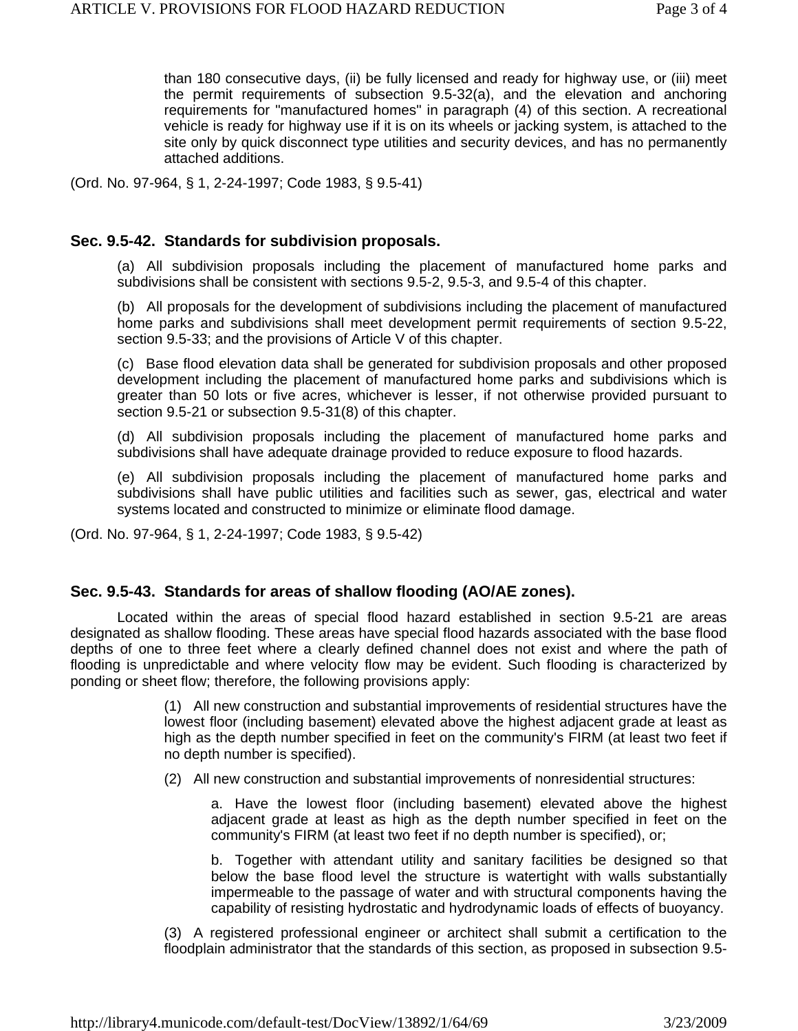than 180 consecutive days, (ii) be fully licensed and ready for highway use, or (iii) meet the permit requirements of subsection 9.5-32(a), and the elevation and anchoring requirements for "manufactured homes" in paragraph (4) of this section. A recreational vehicle is ready for highway use if it is on its wheels or jacking system, is attached to the site only by quick disconnect type utilities and security devices, and has no permanently attached additions.

(Ord. No. 97-964, § 1, 2-24-1997; Code 1983, § 9.5-41)

### **Sec. 9.5-42. Standards for subdivision proposals.**

(a) All subdivision proposals including the placement of manufactured home parks and subdivisions shall be consistent with sections 9.5-2, 9.5-3, and 9.5-4 of this chapter.

(b) All proposals for the development of subdivisions including the placement of manufactured home parks and subdivisions shall meet development permit requirements of section 9.5-22, section 9.5-33; and the provisions of Article V of this chapter.

(c) Base flood elevation data shall be generated for subdivision proposals and other proposed development including the placement of manufactured home parks and subdivisions which is greater than 50 lots or five acres, whichever is lesser, if not otherwise provided pursuant to section 9.5-21 or subsection 9.5-31(8) of this chapter.

(d) All subdivision proposals including the placement of manufactured home parks and subdivisions shall have adequate drainage provided to reduce exposure to flood hazards.

(e) All subdivision proposals including the placement of manufactured home parks and subdivisions shall have public utilities and facilities such as sewer, gas, electrical and water systems located and constructed to minimize or eliminate flood damage.

(Ord. No. 97-964, § 1, 2-24-1997; Code 1983, § 9.5-42)

### **Sec. 9.5-43. Standards for areas of shallow flooding (AO/AE zones).**

Located within the areas of special flood hazard established in section 9.5-21 are areas designated as shallow flooding. These areas have special flood hazards associated with the base flood depths of one to three feet where a clearly defined channel does not exist and where the path of flooding is unpredictable and where velocity flow may be evident. Such flooding is characterized by ponding or sheet flow; therefore, the following provisions apply:

> (1) All new construction and substantial improvements of residential structures have the lowest floor (including basement) elevated above the highest adjacent grade at least as high as the depth number specified in feet on the community's FIRM (at least two feet if no depth number is specified).

(2) All new construction and substantial improvements of nonresidential structures:

a. Have the lowest floor (including basement) elevated above the highest adjacent grade at least as high as the depth number specified in feet on the community's FIRM (at least two feet if no depth number is specified), or;

b. Together with attendant utility and sanitary facilities be designed so that below the base flood level the structure is watertight with walls substantially impermeable to the passage of water and with structural components having the capability of resisting hydrostatic and hydrodynamic loads of effects of buoyancy.

(3) A registered professional engineer or architect shall submit a certification to the floodplain administrator that the standards of this section, as proposed in subsection 9.5